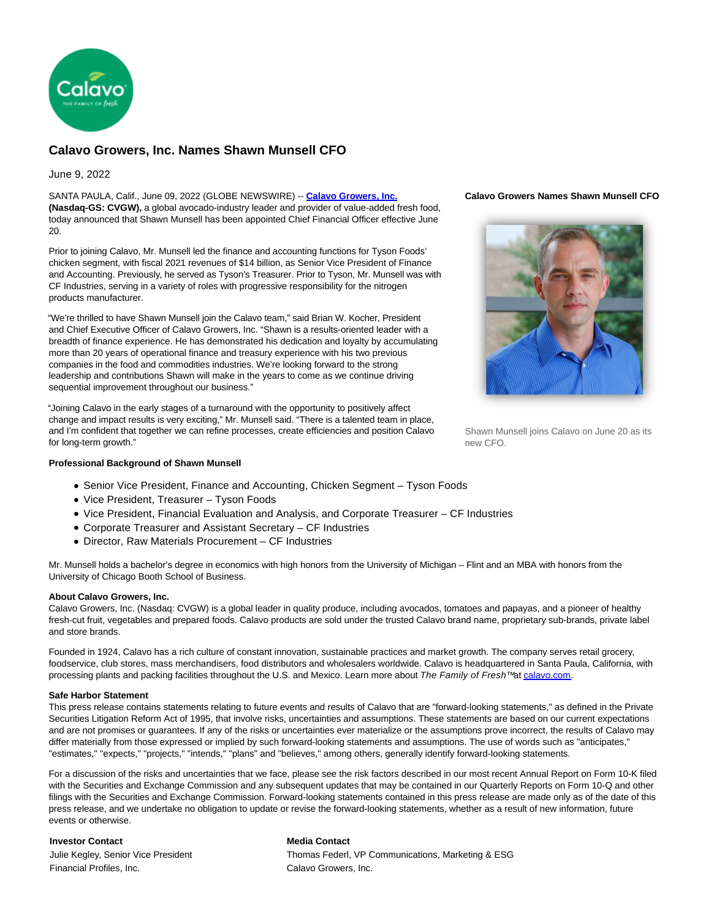

## **Calavo Growers, Inc. Names Shawn Munsell CFO**

June 9, 2022

SANTA PAULA, Calif., June 09, 2022 (GLOBE NEWSWIRE) -- **[Calavo Growers, Inc.](https://www.globenewswire.com/Tracker?data=t3bpi5TnyDkaPB3Iui5ZeywJENqwdCHgV-zMFnsMZ-9x-pG-3d1oXshH4X7jsBjLjsgOYcNZMsk6Yz65wcgZjg==) (Nasdaq-GS: CVGW),** a global avocado-industry leader and provider of value-added fresh food, today announced that Shawn Munsell has been appointed Chief Financial Officer effective June 20.

Prior to joining Calavo, Mr. Munsell led the finance and accounting functions for Tyson Foods' chicken segment, with fiscal 2021 revenues of \$14 billion, as Senior Vice President of Finance and Accounting. Previously, he served as Tyson's Treasurer. Prior to Tyson, Mr. Munsell was with CF Industries, serving in a variety of roles with progressive responsibility for the nitrogen products manufacturer.

"We're thrilled to have Shawn Munsell join the Calavo team," said Brian W. Kocher, President and Chief Executive Officer of Calavo Growers, Inc. "Shawn is a results-oriented leader with a breadth of finance experience. He has demonstrated his dedication and loyalty by accumulating more than 20 years of operational finance and treasury experience with his two previous companies in the food and commodities industries. We're looking forward to the strong leadership and contributions Shawn will make in the years to come as we continue driving sequential improvement throughout our business."

"Joining Calavo in the early stages of a turnaround with the opportunity to positively affect change and impact results is very exciting," Mr. Munsell said. "There is a talented team in place, and I'm confident that together we can refine processes, create efficiencies and position Calavo for long-term growth."

## **Professional Background of Shawn Munsell**

- Senior Vice President, Finance and Accounting, Chicken Segment Tyson Foods
- Vice President, Treasurer Tyson Foods
- Vice President, Financial Evaluation and Analysis, and Corporate Treasurer CF Industries
- Corporate Treasurer and Assistant Secretary CF Industries
- Director, Raw Materials Procurement CF Industries

Mr. Munsell holds a bachelor's degree in economics with high honors from the University of Michigan – Flint and an MBA with honors from the University of Chicago Booth School of Business.

## **About Calavo Growers, Inc.**

Calavo Growers, Inc. (Nasdaq: CVGW) is a global leader in quality produce, including avocados, tomatoes and papayas, and a pioneer of healthy fresh-cut fruit, vegetables and prepared foods. Calavo products are sold under the trusted Calavo brand name, proprietary sub-brands, private label and store brands.

Founded in 1924, Calavo has a rich culture of constant innovation, sustainable practices and market growth. The company serves retail grocery, foodservice, club stores, mass merchandisers, food distributors and wholesalers worldwide. Calavo is headquartered in Santa Paula, California, with processing plants and packing facilities throughout the U.S. and Mexico. Learn more about The Family of Fresh™ a[t calavo.com.](https://www.globenewswire.com/Tracker?data=Dv4Bl7oZkD-xEbEG_GHWou_KhUhXDSWHRJcwdq4lwM2mJdIJeqD2RWiJ5BcfHnEPmyIADoxSFZko42cuwHIveQ==)

## **Safe Harbor Statement**

This press release contains statements relating to future events and results of Calavo that are "forward-looking statements," as defined in the Private Securities Litigation Reform Act of 1995, that involve risks, uncertainties and assumptions. These statements are based on our current expectations and are not promises or guarantees. If any of the risks or uncertainties ever materialize or the assumptions prove incorrect, the results of Calavo may differ materially from those expressed or implied by such forward-looking statements and assumptions. The use of words such as "anticipates," "estimates," "expects," "projects," "intends," "plans" and "believes," among others, generally identify forward-looking statements.

For a discussion of the risks and uncertainties that we face, please see the risk factors described in our most recent Annual Report on Form 10-K filed with the Securities and Exchange Commission and any subsequent updates that may be contained in our Quarterly Reports on Form 10-Q and other filings with the Securities and Exchange Commission. Forward-looking statements contained in this press release are made only as of the date of this press release, and we undertake no obligation to update or revise the forward-looking statements, whether as a result of new information, future events or otherwise.

**Investor Contact Media Contact** 

Financial Profiles, Inc. **Calavo Growers**, Inc.

Julie Kegley, Senior Vice President Thomas Federl, VP Communications, Marketing & ESG

**Calavo Growers Names Shawn Munsell CFO**



Shawn Munsell joins Calavo on June 20 as its new CFO.